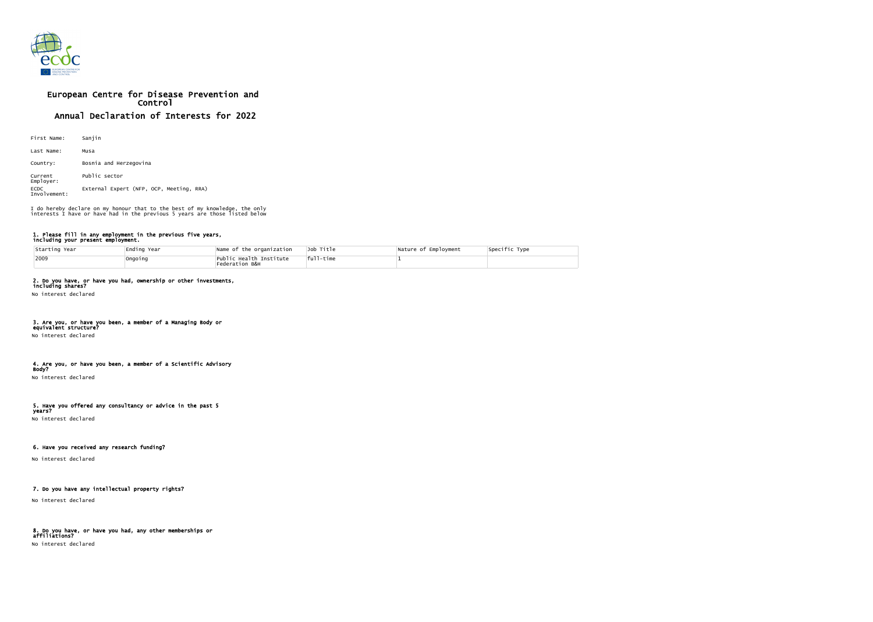

# European Centre for Disease Prevention and Control Annual Declaration of Interests for 2022

| First Name:                 | Sanjin                                   |
|-----------------------------|------------------------------------------|
| Last Name:                  | Musa                                     |
| Country:                    | Bosnia and Herzegovina                   |
| Current<br>Employer:        | Public sector                            |
| <b>ECDC</b><br>Involvement: | External Expert (NFP, OCP, Meeting, RRA) |

### 1. Please fill in any employment in the previous five years, including your present employment.

| Starting Year | Ending Year | Name of the organization                  | Job Title    | Nature of Employment | Specific Type |
|---------------|-------------|-------------------------------------------|--------------|----------------------|---------------|
| 2009          | Ongoing     | Public Health Institute<br>Federation B&H | $ ful1-time$ |                      |               |

# 2. Do you have, or have you had, ownership or other investments,

including shares? No interest declared

# 3. Are you, or have you been, a member of a Managing Body or

equivalent structure?

# No interest declared

### 4. Are you, or have you been, a member of a Scientific Advisory Body?

No interest declared

#### 5. Have you offered any consultancy or advice in the past 5 years?

No interest declared

### 6. Have you received any research funding?

No interest declared

# 7. Do you have any intellectual property rights?

No interest declared

# 8. Do you have, or have you had, any other memberships or affiliations?

No interest declared

I do hereby declare on my honour that to the best of my knowledge, the only interests I have or have had in the previous 5 years are those listed below